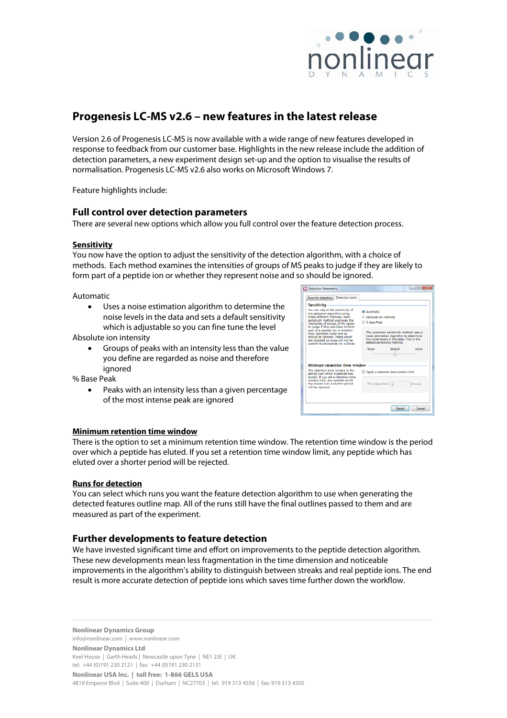

# **Progenesis LC-MS v2.6 – new features in the latest release**

Version 2.6 of Progenesis LC-MS is now available with a wide range of new features developed in response to feedback from our customer base. Highlights in the new release include the addition of detection parameters, a new experiment design set-up and the option to visualise the results of normalisation. Progenesis LC-MS v2.6 also works on Microsoft Windows 7.

Feature highlights include:

### **Full control over detection parameters**

There are several new options which allow you full control over the feature detection process.

### **Sensitivity**

You now have the option to adjust the sensitivity of the detection algorithm, with a choice of methods. Each method examines the intensities of groups of MS peaks to judge if they are likely to form part of a peptide ion or whether they represent noise and so should be ignored.

Automatic

• Uses a noise estimation algorithm to determine the noise levels in the data and sets a default sensitivity which is adjustable so you can fine tune the level

Absolute ion intensity

• Groups of peaks with an intensity less than the value you define are regarded as noise and therefore ignored

% Base Peak

• Peaks with an intensity less than a given percentage of the most intense peak are ignored

| Runs for detection Detection limits                                                                                                                                                                                  |  |                                                                                                                                                                |  |  |  |  |  |  |
|----------------------------------------------------------------------------------------------------------------------------------------------------------------------------------------------------------------------|--|----------------------------------------------------------------------------------------------------------------------------------------------------------------|--|--|--|--|--|--|
| <b>Sensitivity</b>                                                                                                                                                                                                   |  |                                                                                                                                                                |  |  |  |  |  |  |
| You can adjust the sensitivity of<br>the detection algorithm using                                                                                                                                                   |  | <b>Di Automatic</b>                                                                                                                                            |  |  |  |  |  |  |
| these different methods. Each                                                                                                                                                                                        |  | Absolute ion intensity                                                                                                                                         |  |  |  |  |  |  |
| sensitivity method examines the<br>intensities of groups of MS peaks                                                                                                                                                 |  | C % Base Peak                                                                                                                                                  |  |  |  |  |  |  |
| to judge if they are likely to form<br>part of a peptide ion or whether<br>they represent noise and so<br>should be ignored. Peaks which<br>are rejected as noise will not be<br>used to build peptide ion outlines. |  | The automatic sensitivity method uses a<br>noise estimation algorithm to determine<br>the noise levels in the data. This is the<br>default sensitivity method. |  |  |  |  |  |  |
|                                                                                                                                                                                                                      |  | fewer<br>default<br>more                                                                                                                                       |  |  |  |  |  |  |
| Minimum retention time window                                                                                                                                                                                        |  |                                                                                                                                                                |  |  |  |  |  |  |
| The retention time window is the<br>period over which a peptide has<br>eluted. If you set a retention time                                                                                                           |  | Apply a retention time window limit                                                                                                                            |  |  |  |  |  |  |
| window limit, any peptide which<br>has eluted over a shorter period<br>will be rejected.                                                                                                                             |  | RT window limit: 0<br>minutes                                                                                                                                  |  |  |  |  |  |  |
|                                                                                                                                                                                                                      |  |                                                                                                                                                                |  |  |  |  |  |  |

#### **Minimum retention time window**

There is the option to set a minimum retention time window. The retention time window is the period over which a peptide has eluted. If you set a retention time window limit, any peptide which has eluted over a shorter period will be rejected.

#### **Runs for detection**

You can select which runs you want the feature detection algorithm to use when generating the detected features outline map. All of the runs still have the final outlines passed to them and are measured as part of the experiment.

### **Further developments to feature detection**

We have invested significant time and effort on improvements to the peptide detection algorithm. These new developments mean less fragmentation in the time dimension and noticeable improvements in the algorithm's ability to distinguish between streaks and real peptide ions. The end result is more accurate detection of peptide ions which saves time further down the workflow.

**Nonlinear Dynamics Group** 

info@nonlinear.com | www.nonlinear.com

**Nonlinear Dynamics Ltd**  Keel House | Garth Heads | Newcastle upon Tyne | NE1 2JE | UK tel: +44 (0)191 230 2121 | fax: +44 (0)191 230 2131

**Nonlinear USA Inc. | toll free: 1-866 GELS USA** 

4819 Emperor Blvd | Suite 400 | Durham | NC27703 | tel: 919 313 4556 | fax: 919 313 4505